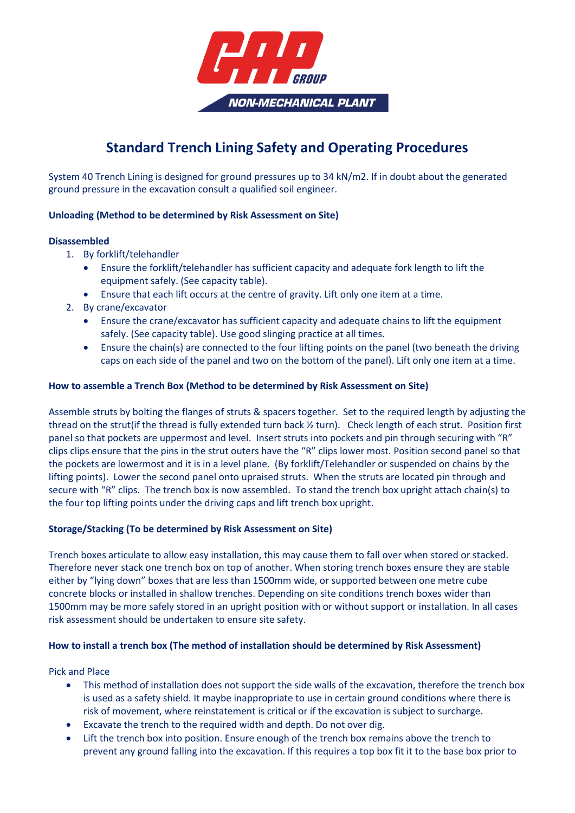

# **Standard Trench Lining Safety and Operating Procedures**

System 40 Trench Lining is designed for ground pressures up to 34 kN/m2. If in doubt about the generated ground pressure in the excavation consult a qualified soil engineer.

# **Unloading (Method to be determined by Risk Assessment on Site)**

#### **Disassembled**

- 1. By forklift/telehandler
	- Ensure the forklift/telehandler has sufficient capacity and adequate fork length to lift the equipment safely. (See capacity table).
	- Ensure that each lift occurs at the centre of gravity. Lift only one item at a time.
- 2. By crane/excavator
	- Ensure the crane/excavator has sufficient capacity and adequate chains to lift the equipment safely. (See capacity table). Use good slinging practice at all times.
	- Ensure the chain(s) are connected to the four lifting points on the panel (two beneath the driving caps on each side of the panel and two on the bottom of the panel). Lift only one item at a time.

#### **How to assemble a Trench Box (Method to be determined by Risk Assessment on Site)**

Assemble struts by bolting the flanges of struts & spacers together. Set to the required length by adjusting the thread on the strut(if the thread is fully extended turn back ½ turn). Check length of each strut. Position first panel so that pockets are uppermost and level. Insert struts into pockets and pin through securing with "R" clips clips ensure that the pins in the strut outers have the "R" clips lower most. Position second panel so that the pockets are lowermost and it is in a level plane. (By forklift/Telehandler or suspended on chains by the lifting points). Lower the second panel onto upraised struts. When the struts are located pin through and secure with "R" clips. The trench box is now assembled. To stand the trench box upright attach chain(s) to the four top lifting points under the driving caps and lift trench box upright.

# **Storage/Stacking (To be determined by Risk Assessment on Site)**

Trench boxes articulate to allow easy installation, this may cause them to fall over when stored or stacked. Therefore never stack one trench box on top of another. When storing trench boxes ensure they are stable either by "lying down" boxes that are less than 1500mm wide, or supported between one metre cube concrete blocks or installed in shallow trenches. Depending on site conditions trench boxes wider than 1500mm may be more safely stored in an upright position with or without support or installation. In all cases risk assessment should be undertaken to ensure site safety.

# **How to install a trench box (The method of installation should be determined by Risk Assessment)**

Pick and Place

- This method of installation does not support the side walls of the excavation, therefore the trench box is used as a safety shield. It maybe inappropriate to use in certain ground conditions where there is risk of movement, where reinstatement is critical or if the excavation is subject to surcharge.
- Excavate the trench to the required width and depth. Do not over dig.
- Lift the trench box into position. Ensure enough of the trench box remains above the trench to prevent any ground falling into the excavation. If this requires a top box fit it to the base box prior to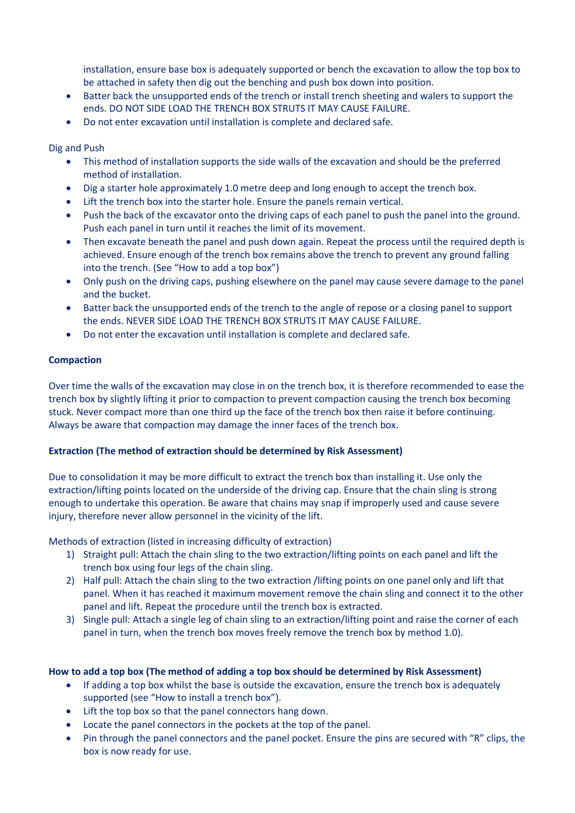installation, ensure base box is adequately supported or bench the excavation to allow the top box to be attached in safety then dig out the benching and push box down into position.

- Batter back the unsupported ends of the trench or install trench sheeting and walers to support the ends. DO NOT SIDE LOAD THE TRENCH BOX STRUTS IT MAY CAUSE FAILURE.
- Do not enter excavation until installation is complete and declared safe.

#### Dig and Push

- This method of installation supports the side walls of the excavation and should be the preferred method of installation.
- Dig a starter hole approximately 1.0 metre deep and long enough to accept the trench box.
- Lift the trench box into the starter hole. Ensure the panels remain vertical.
- Push the back of the excavator onto the driving caps of each panel to push the panel into the ground. Push each panel in turn until it reaches the limit of its movement.
- Then excavate beneath the panel and push down again. Repeat the process until the required depth is achieved. Ensure enough of the trench box remains above the trench to prevent any ground falling into the trench. (See "How to add a top box")
- Only push on the driving caps, pushing elsewhere on the panel may cause severe damage to the panel and the bucket.
- Batter back the unsupported ends of the trench to the angle of repose or a closing panel to support the ends. NEVER SIDE LOAD THE TRENCH BOX STRUTS IT MAY CAUSE FAILURE.
- Do not enter the excavation until installation is complete and declared safe.

#### **Compaction**

Over time the walls of the excavation may close in on the trench box, it is therefore recommended to ease the trench box by slightly lifting it prior to compaction to prevent compaction causing the trench box becoming stuck. Never compact more than one third up the face of the trench box then raise it before continuing. Always be aware that compaction may damage the inner faces of the trench box.

#### **Extraction (The method of extraction should be determined by Risk Assessment)**

Due to consolidation it may be more difficult to extract the trench box than installing it. Use only the extraction/lifting points located on the underside of the driving cap. Ensure that the chain sling is strong enough to undertake this operation. Be aware that chains may snap if improperly used and cause severe injury, therefore never allow personnel in the vicinity of the lift.

Methods of extraction (listed in increasing difficulty of extraction)

- 1) Straight pull: Attach the chain sling to the two extraction/lifting points on each panel and lift the trench box using four legs of the chain sling.
- 2) Half pull: Attach the chain sling to the two extraction /lifting points on one panel only and lift that panel. When it has reached it maximum movement remove the chain sling and connect it to the other panel and lift. Repeat the procedure until the trench box is extracted.
- 3) Single pull: Attach a single leg of chain sling to an extraction/lifting point and raise the corner of each panel in turn, when the trench box moves freely remove the trench box by method 1.0).

#### **How to add a top box (The method of adding a top box should be determined by Risk Assessment)**

- If adding a top box whilst the base is outside the excavation, ensure the trench box is adequately supported (see "How to install a trench box").
- Lift the top box so that the panel connectors hang down.
- Locate the panel connectors in the pockets at the top of the panel.
- Pin through the panel connectors and the panel pocket. Ensure the pins are secured with "R" clips, the box is now ready for use.